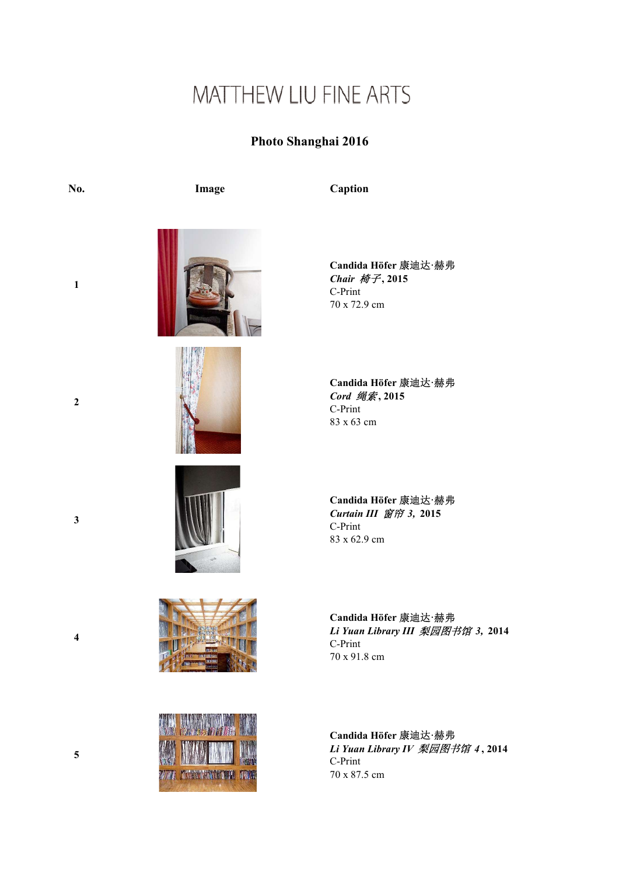## MATTHEW LIU FINE ARTS

## Photo Shanghai 2016

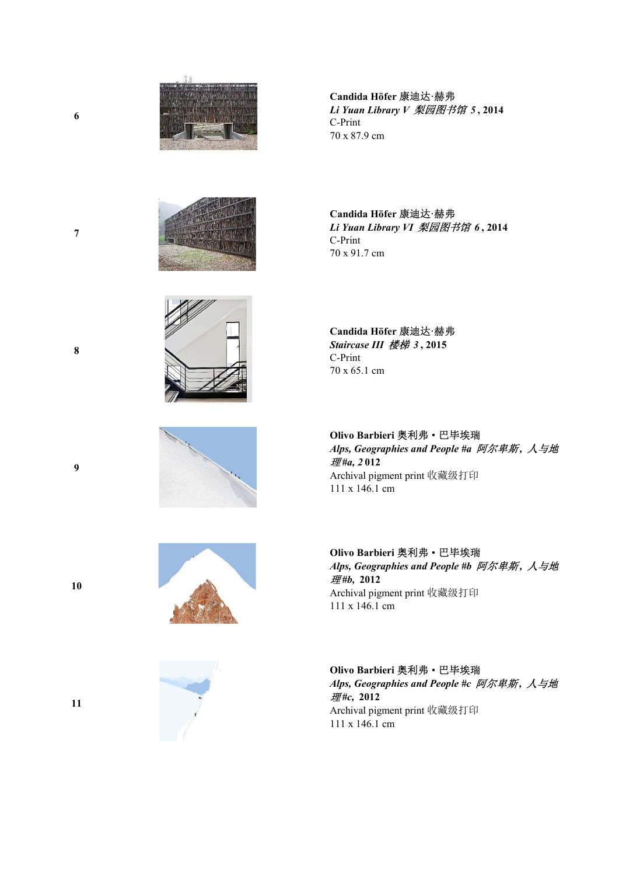





Candida Höfer 康迪达·赫弗 Li Yuan Library V 梨园图书馆 5 , 2014 C-Print 70 x 87.9 cm

Candida Höfer 康迪达·赫弗 Li Yuan Library VI 梨园图书馆 6 , 2014 C-Print 70 x 91.7 cm

Candida Höfer 康迪达·赫弗 Staircase III 楼梯 3 , 2015 C-Print 70 x 65.1 cm

Olivo Barbieri 奥利弗·巴毕埃瑞 Alps, Geographies and People #a 阿尔卑斯, 人与地 理 #a, 2 012 Archival pigment print 收藏级打印 111 x 146.1 cm

Olivo Barbieri 奥利弗·巴毕埃瑞 Alps, Geographies and People #b 阿尔卑斯, 人与地 理#b, 2012 Archival pigment print 收藏级打印 111 x 146.1 cm

## Olivo Barbieri 奥利弗·巴毕埃瑞 Alps, Geographies and People #c 阿尔卑斯, 人与地 理#c, 2012 Archival pigment print 收藏级打印

111 x 146.1 cm

10

9

6

7

8



11